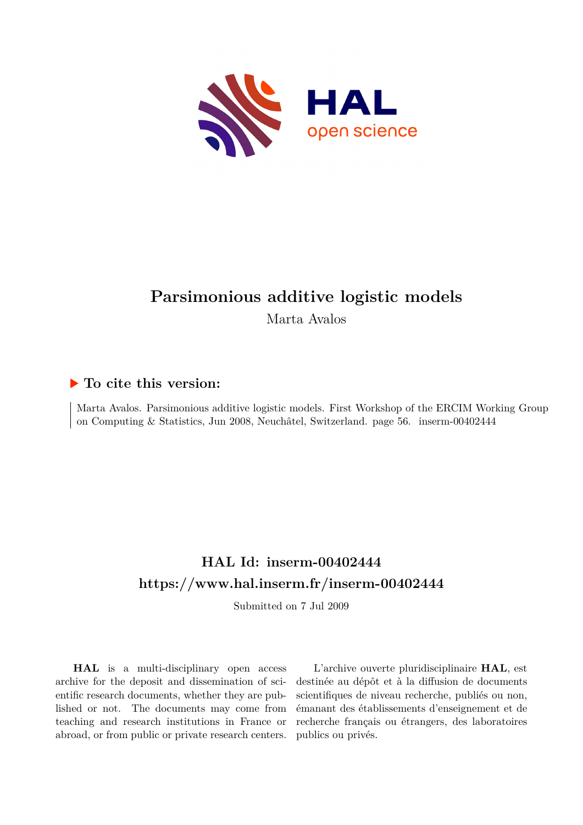

## **Parsimonious additive logistic models**

Marta Avalos

## **To cite this version:**

Marta Avalos. Parsimonious additive logistic models. First Workshop of the ERCIM Working Group on Computing & Statistics, Jun 2008, Neuchâtel, Switzerland. page 56. inserm-00402444

## **HAL Id: inserm-00402444 <https://www.hal.inserm.fr/inserm-00402444>**

Submitted on 7 Jul 2009

**HAL** is a multi-disciplinary open access archive for the deposit and dissemination of scientific research documents, whether they are published or not. The documents may come from teaching and research institutions in France or abroad, or from public or private research centers.

L'archive ouverte pluridisciplinaire **HAL**, est destinée au dépôt et à la diffusion de documents scientifiques de niveau recherche, publiés ou non, émanant des établissements d'enseignement et de recherche français ou étrangers, des laboratoires publics ou privés.